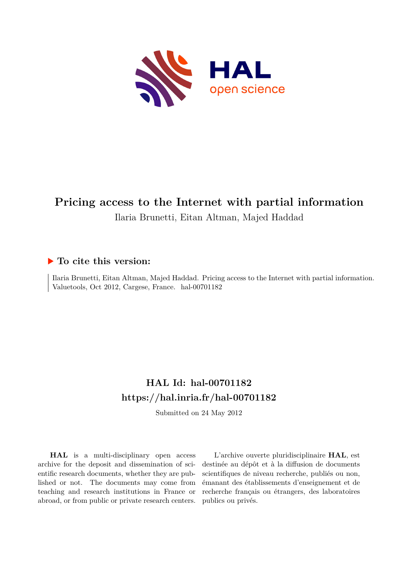

# **Pricing access to the Internet with partial information** Ilaria Brunetti, Eitan Altman, Majed Haddad

## **To cite this version:**

Ilaria Brunetti, Eitan Altman, Majed Haddad. Pricing access to the Internet with partial information. Valuetools, Oct 2012, Cargese, France. hal-00701182

# **HAL Id: hal-00701182 <https://hal.inria.fr/hal-00701182>**

Submitted on 24 May 2012

**HAL** is a multi-disciplinary open access archive for the deposit and dissemination of scientific research documents, whether they are published or not. The documents may come from teaching and research institutions in France or abroad, or from public or private research centers.

L'archive ouverte pluridisciplinaire **HAL**, est destinée au dépôt et à la diffusion de documents scientifiques de niveau recherche, publiés ou non, émanant des établissements d'enseignement et de recherche français ou étrangers, des laboratoires publics ou privés.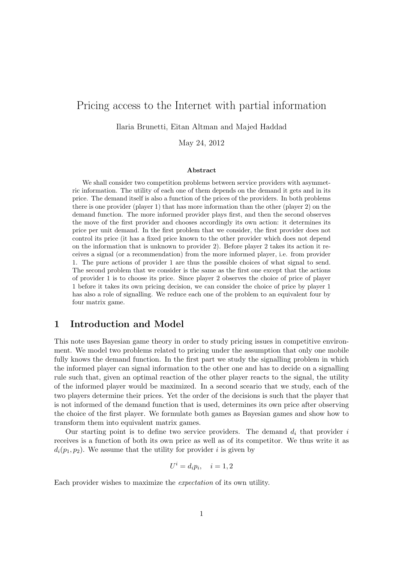## Pricing access to the Internet with partial information

Ilaria Brunetti, Eitan Altman and Majed Haddad

May 24, 2012

#### Abstract

We shall consider two competition problems between service providers with asymmetric information. The utility of each one of them depends on the demand it gets and in its price. The demand itself is also a function of the prices of the providers. In both problems there is one provider (player 1) that has more information than the other (player 2) on the demand function. The more informed provider plays first, and then the second observes the move of the first provider and chooses accordingly its own action: it determines its price per unit demand. In the first problem that we consider, the first provider does not control its price (it has a fixed price known to the other provider which does not depend on the information that is unknown to provider 2). Before player 2 takes its action it receives a signal (or a recommendation) from the more informed player, i.e. from provider 1. The pure actions of provider 1 are thus the possible choices of what signal to send. The second problem that we consider is the same as the first one except that the actions of provider 1 is to choose its price. Since player 2 observes the choice of price of player 1 before it takes its own pricing decision, we can consider the choice of price by player 1 has also a role of signalling. We reduce each one of the problem to an equivalent four by four matrix game.

### 1 Introduction and Model

This note uses Bayesian game theory in order to study pricing issues in competitive environment. We model two problems related to pricing under the assumption that only one mobile fully knows the demand function. In the first part we study the signalling problem in which the informed player can signal information to the other one and has to decide on a signalling rule such that, given an optimal reaction of the other player reacts to the signal, the utility of the informed player would be maximized. In a second sceario that we study, each of the two players determine their prices. Yet the order of the decisions is such that the player that is not informed of the demand function that is used, determines its own price after observing the choice of the first player. We formulate both games as Bayesian games and show how to transform them into equivalent matrix games.

Our starting point is to define two service providers. The demand  $d_i$  that provider i receives is a function of both its own price as well as of its competitor. We thus write it as  $d_i(p_1, p_2)$ . We assume that the utility for provider i is given by

$$
U^i = d_i p_i, \quad i = 1, 2
$$

Each provider wishes to maximize the expectation of its own utility.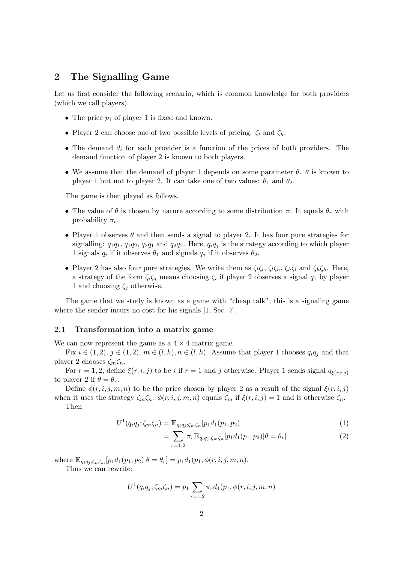## 2 The Signalling Game

Let us first consider the following scenario, which is common knowledge for both providers (which we call players).

- The price  $p_1$  of player 1 is fixed and known.
- Player 2 can choose one of two possible levels of pricing:  $\zeta_l$  and  $\zeta_h$ .
- The demand  $d_i$  for each provider is a function of the prices of both providers. The demand function of player 2 is known to both players.
- We assume that the demand of player 1 depends on some parameter  $\theta$ .  $\theta$  is known to player 1 but not to player 2. It can take one of two values:  $\theta_1$  and  $\theta_2$ .

The game is then played as follows.

- The value of  $\theta$  is chosen by nature according to some distribution  $\pi$ . It equals  $\theta_r$  with probability  $\pi_r$ .
- Player 1 observes  $\theta$  and then sends a signal to player 2. It has four pure strategies for signalling:  $q_1q_1, q_1q_2, q_2q_1$  and  $q_2q_2$ . Here,  $q_iq_j$  is the strategy according to which player 1 signals  $q_i$  if it observes  $\theta_1$  and signals  $q_j$  if it observes  $\theta_2$ .
- Player 2 has also four pure strategies. We write them as  $\zeta_l\zeta_l$ ,  $\zeta_l\zeta_h$ ,  $\zeta_h\zeta_l$  and  $\zeta_h\zeta_h$ . Here, a strategy of the form  $\zeta_i \zeta_j$  means choosing  $\zeta_i$  if player 2 observes a signal  $q_1$  by player 1 and choosing  $\zeta_j$  otherwise.

The game that we study is known as a game with "cheap talk"; this is a signaling game where the sender incurs no cost for his signals [1, Sec. 7].

#### 2.1 Transformation into a matrix game

We can now represent the game as a  $4 \times 4$  matrix game.

Fix  $i \in (1, 2), j \in (1, 2), m \in (l, h), n \in (l, h)$ . Assume that player 1 chooses  $q_i q_j$  and that player 2 chooses  $\zeta_m \zeta_n$ .

For  $r = 1, 2$ , define  $\xi(r, i, j)$  to be i if  $r = 1$  and j otherwise. Player 1 sends signal  $q_{\xi(r, i, j)}$ to player 2 if  $\theta = \theta_r$ .

Define  $\phi(r, i, j, m, n)$  to be the price chosen by player 2 as a result of the signal  $\xi(r, i, j)$ when it uses the strategy  $\zeta_m\zeta_n$ .  $\phi(r, i, j, m, n)$  equals  $\zeta_m$  if  $\xi(r, i, j) = 1$  and is otherwise  $\zeta_n$ .

Then

$$
U^{1}(q_{i}q_{j};\zeta_{m}\zeta_{n}) = \mathbb{E}_{q_{i}q_{j};\zeta_{m}\zeta_{n}}[p_{1}d_{1}(p_{1},p_{2})]
$$
\n(1)

$$
= \sum_{r=1,2} \pi_r \mathbb{E}_{q_i q_j; \zeta_m \zeta_n} [p_1 d_1(p_1, p_2) | \theta = \theta_r]
$$
 (2)

where  $\mathbb{E}_{q_i q_j; \zeta_m \zeta_n} [p_1 d_1 (p_1, p_2) | \theta = \theta_r] = p_1 d_1 (p_1, \phi(r, i, j, m, n)).$ 

Thus we can rewrite:

$$
U^{1}(q_{i}q_{j}; \zeta_{m}\zeta_{n}) = p_{1} \sum_{r=1,2} \pi_{r} d_{1}(p_{1}, \phi(r, i, j, m, n))
$$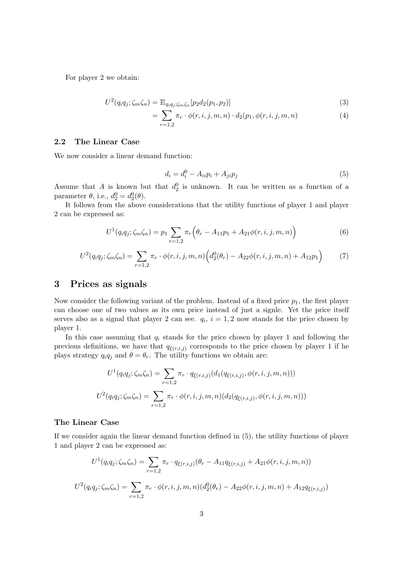For player 2 we obtain:

$$
U^2(q_iq_j;\zeta_m\zeta_n) = \mathbb{E}_{q_iq_j;\zeta_m\zeta_n}[p_2d_2(p_1,p_2)]\tag{3}
$$

$$
= \sum_{r=1,2} \pi_r \cdot \phi(r,i,j,m,n) \cdot d_2(p_1,\phi(r,i,j,m,n)) \tag{4}
$$

#### 2.2 The Linear Case

We now consider a linear demand function:

$$
d_i = d_i^0 - A_{ii}p_i + A_{ji}p_j \tag{5}
$$

Assume that A is known but that  $d_2^0$  is unknown. It can be written as a function of a parameter  $\theta$ , i.e.,  $d_2^0 = d_2^0(\theta)$ .

It follows from the above considerations that the utility functions of player 1 and player 2 can be expressed as:

$$
U^{1}(q_{i}q_{j};\zeta_{m}\zeta_{n}) = p_{1}\sum_{r=1,2}\pi_{r}\left(\theta_{r}-A_{11}p_{1}+A_{21}\phi(r,i,j,m,n)\right)
$$
(6)

$$
U^{2}(q_{i}q_{j};\zeta_{m}\zeta_{n}) = \sum_{r=1,2} \pi_{r} \cdot \phi(r,i,j,m,n) \Big( d_{2}^{0}(\theta_{r}) - A_{22}\phi(r,i,j,m,n) + A_{12}p_{1} \Big) \tag{7}
$$

## 3 Prices as signals

Now consider the following variant of the problem. Instead of a fixed price  $p_1$ , the first player can choose one of two values as its own price instead of just a signle. Yet the price itself serves also as a signal that player 2 can see.  $q_i$ ,  $i = 1, 2$  now stands for the price chosen by player 1.

In this case assuming that  $q_i$  stands for the price chosen by player 1 and following the previous definitions, we have that  $q_{\xi(r,i,j)}$  corresponds to the price chosen by player 1 if he plays strategy  $q_iq_j$  and  $\theta = \theta_r$ . The utility functions we obtain are:

$$
U^{1}(q_{i}q_{j}; \zeta_{m}\zeta_{n}) = \sum_{r=1,2} \pi_{r} \cdot q_{\xi(r,i,j)}(d_{1}(q_{\xi(r,i,j)}, \phi(r,i,j,m,n)))
$$

$$
U^{2}(q_{i}q_{j}; \zeta_{m}\zeta_{n}) = \sum_{r=1,2} \pi_{r} \cdot \phi(r,i,j,m,n)(d_{2}(q_{\xi(r,i,j)}, \phi(r,i,j,m,n)))
$$

#### The Linear Case

If we consider again the linear demand function defined in (5), the utility functions of player 1 and player 2 can be expressed as:

$$
U^{1}(q_{i}q_{j}; \zeta_{m}\zeta_{n}) = \sum_{r=1,2} \pi_{r} \cdot q_{\xi(r,i,j)}(\theta_{r} - A_{11}q_{\xi(r,i,j)} + A_{21}\phi(r,i,j,m,n))
$$

$$
U^{2}(q_{i}q_{j}; \zeta_{m}\zeta_{n}) = \sum_{r=1,2} \pi_{r} \cdot \phi(r,i,j,m,n)(d_{2}^{0}(\theta_{r}) - A_{22}\phi(r,i,j,m,n) + A_{12}q_{\xi(r,i,j)})
$$